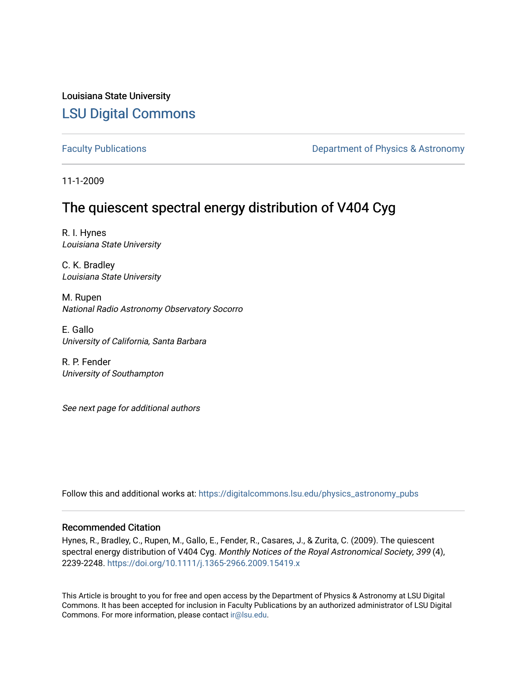Louisiana State University [LSU Digital Commons](https://digitalcommons.lsu.edu/)

[Faculty Publications](https://digitalcommons.lsu.edu/physics_astronomy_pubs) **Exercise 2 and Table 2 and Table 2 and Table 2 and Table 2 and Table 2 and Table 2 and Table 2 and Table 2 and Table 2 and Table 2 and Table 2 and Table 2 and Table 2 and Table 2 and Table 2 and Table** 

11-1-2009

# The quiescent spectral energy distribution of V404 Cyg

R. I. Hynes Louisiana State University

C. K. Bradley Louisiana State University

M. Rupen National Radio Astronomy Observatory Socorro

E. Gallo University of California, Santa Barbara

R. P. Fender University of Southampton

See next page for additional authors

Follow this and additional works at: [https://digitalcommons.lsu.edu/physics\\_astronomy\\_pubs](https://digitalcommons.lsu.edu/physics_astronomy_pubs?utm_source=digitalcommons.lsu.edu%2Fphysics_astronomy_pubs%2F2604&utm_medium=PDF&utm_campaign=PDFCoverPages) 

# Recommended Citation

Hynes, R., Bradley, C., Rupen, M., Gallo, E., Fender, R., Casares, J., & Zurita, C. (2009). The quiescent spectral energy distribution of V404 Cyg. Monthly Notices of the Royal Astronomical Society, 399 (4), 2239-2248. <https://doi.org/10.1111/j.1365-2966.2009.15419.x>

This Article is brought to you for free and open access by the Department of Physics & Astronomy at LSU Digital Commons. It has been accepted for inclusion in Faculty Publications by an authorized administrator of LSU Digital Commons. For more information, please contact [ir@lsu.edu](mailto:ir@lsu.edu).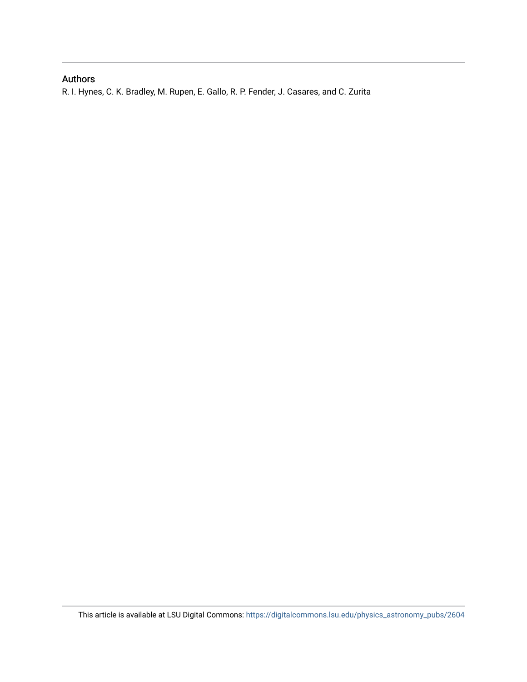# Authors

R. I. Hynes, C. K. Bradley, M. Rupen, E. Gallo, R. P. Fender, J. Casares, and C. Zurita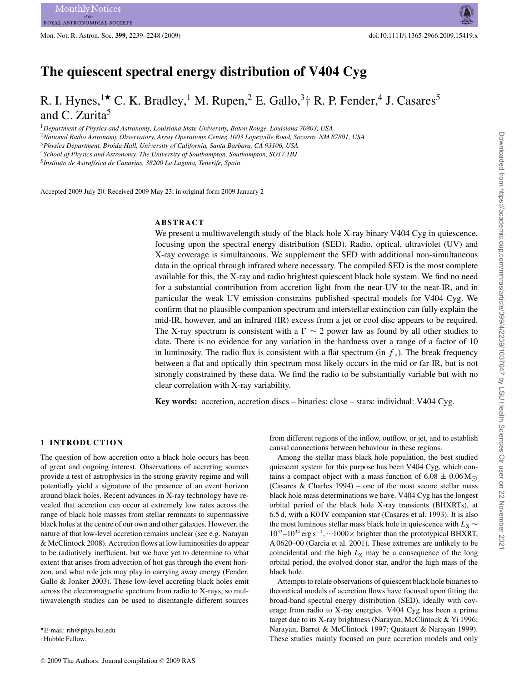Mon. Not. R. Astron. Soc. **399,** 2239–2248 (2009) doi:10.1111/j.1365-2966.2009.15419.x

# **The quiescent spectral energy distribution of V404 Cyg**

# R. I. Hynes,<sup>1\*</sup> C. K. Bradley,<sup>1</sup> M. Rupen,<sup>2</sup> E. Gallo,<sup>3</sup><sup>†</sup> R. P. Fender,<sup>4</sup> J. Casares<sup>5</sup> and C. Zurita<sup>5</sup>

<sup>1</sup>*Department of Physics and Astronomy, Louisiana State University, Baton Rouge, Louisiana 70803, USA*

<sup>2</sup>*National Radio Astronomy Observatory, Array Operations Center, 1003 Lopezville Road, Socorro, NM 87801, USA*

<sup>3</sup>*Physics Department, Broida Hall, University of California, Santa Barbara, CA 93106, USA*

<sup>4</sup>*School of Physics and Astronomy, The University of Southampton, Southampton, SO17 1BJ*

<sup>5</sup> Instituto de Astrofísica de Canarias, 38200 La Laguna, Tenerife, Spain

Accepted 2009 July 20. Received 2009 May 23; in original form 2009 January 2

# **ABSTRACT**

We present a multiwavelength study of the black hole X-ray binary V404 Cyg in quiescence, focusing upon the spectral energy distribution (SED). Radio, optical, ultraviolet (UV) and X-ray coverage is simultaneous. We supplement the SED with additional non-simultaneous data in the optical through infrared where necessary. The compiled SED is the most complete available for this, the X-ray and radio brightest quiescent black hole system. We find no need for a substantial contribution from accretion light from the near-UV to the near-IR, and in particular the weak UV emission constrains published spectral models for V404 Cyg. We confirm that no plausible companion spectrum and interstellar extinction can fully explain the mid-IR, however, and an infrared (IR) excess from a jet or cool disc appears to be required. The X-ray spectrum is consistent with a  $\Gamma \sim 2$  power law as found by all other studies to date. There is no evidence for any variation in the hardness over a range of a factor of 10 in luminosity. The radio flux is consistent with a flat spectrum (in  $f_y$ ). The break frequency between a flat and optically thin spectrum most likely occurs in the mid or far-IR, but is not strongly constrained by these data. We find the radio to be substantially variable but with no clear correlation with X-ray variability.

**Key words:** accretion, accretion discs – binaries: close – stars: individual: V404 Cyg.

#### **1 INTRODUCTION**

The question of how accretion onto a black hole occurs has been of great and ongoing interest. Observations of accreting sources provide a test of astrophysics in the strong gravity regime and will potentially yield a signature of the presence of an event horizon around black holes. Recent advances in X-ray technology have revealed that accretion can occur at extremely low rates across the range of black hole masses from stellar remnants to supermassive black holes at the centre of our own and other galaxies. However, the nature of that low-level accretion remains unclear (see e.g. Narayan & McClintock 2008). Accretion flows at low luminosities do appear to be radiatively inefficient, but we have yet to determine to what extent that arises from advection of hot gas through the event horizon, and what role jets may play in carrying away energy (Fender, Gallo & Jonker 2003). These low-level accreting black holes emit across the electromagnetic spectrum from radio to X-rays, so multiwavelength studies can be used to disentangle different sources

*-*E-mail: rih@phys.lsu.edu †Hubble Fellow.

from different regions of the inflow, outflow, or jet, and to establish causal connections between behaviour in these regions.

Among the stellar mass black hole population, the best studied quiescent system for this purpose has been V404 Cyg, which contains a compact object with a mass function of  $6.08 \pm 0.06$  M<sub>O</sub> (Casares  $& Charles 1994$ ) – one of the most secure stellar mass black hole mass determinations we have. V404 Cyg has the longest orbital period of the black hole X-ray transients (BHXRTs), at 6.5 d, with a K0 IV companion star (Casares et al. 1993). It is also the most luminous stellar mass black hole in quiescence with  $L_X \sim$ 1033–1034 erg s−1, ∼1000× brighter than the prototypical BHXRT, A 0620–00 (Garcia et al. 2001). These extremes are unlikely to be coincidental and the high  $L_X$  may be a consequence of the long orbital period, the evolved donor star, and/or the high mass of the black hole.

Attempts to relate observations of quiescent black hole binaries to theoretical models of accretion flows have focused upon fitting the broad-band spectral energy distribution (SED), ideally with coverage from radio to X-ray energies. V404 Cyg has been a prime target due to its X-ray brightness (Narayan, McClintock & Yi 1996; Narayan, Barret & McClintock 1997; Quataert & Narayan 1999). These studies mainly focused on pure accretion models and only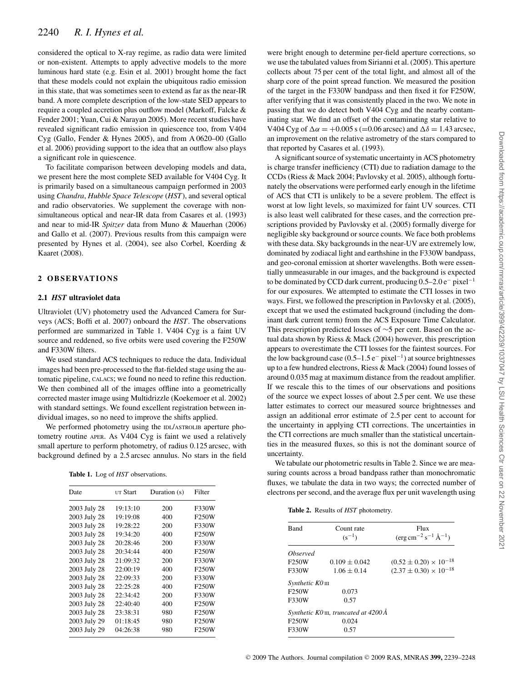considered the optical to X-ray regime, as radio data were limited or non-existent. Attempts to apply advective models to the more luminous hard state (e.g. Esin et al. 2001) brought home the fact that these models could not explain the ubiquitous radio emission in this state, that was sometimes seen to extend as far as the near-IR band. A more complete description of the low-state SED appears to require a coupled accretion plus outflow model (Markoff, Falcke & Fender 2001; Yuan, Cui & Narayan 2005). More recent studies have revealed significant radio emission in quiescence too, from V404 Cyg (Gallo, Fender & Hynes 2005), and from A 0620–00 (Gallo et al. 2006) providing support to the idea that an outflow also plays a significant role in quiescence.

To facilitate comparison between developing models and data, we present here the most complete SED available for V404 Cyg. It is primarily based on a simultaneous campaign performed in 2003 using *Chandra*, *Hubble Space Telescope* (*HST*), and several optical and radio observatories. We supplement the coverage with nonsimultaneous optical and near-IR data from Casares et al. (1993) and near to mid-IR *Spitzer* data from Muno & Mauerhan (2006) and Gallo et al. (2007). Previous results from this campaign were presented by Hynes et al. (2004), see also Corbel, Koerding & Kaaret (2008).

#### **2 OB SE RVAT IO N S**

#### **2.1** *HST* **ultraviolet data**

Ultraviolet (UV) photometry used the Advanced Camera for Surveys (ACS; Boffi et al. 2007) onboard the *HST*. The observations performed are summarized in Table 1. V404 Cyg is a faint UV source and reddened, so five orbits were used covering the F250W and F330W filters.

We used standard ACS techniques to reduce the data. Individual images had been pre-processed to the flat-fielded stage using the automatic pipeline, CALACS; we found no need to refine this reduction. We then combined all of the images offline into a geometrically corrected master image using Multidrizzle (Koekemoer et al. 2002) with standard settings. We found excellent registration between individual images, so no need to improve the shifts applied.

We performed photometry using the IDL/ASTROLIB aperture photometry routine APER. As V404 Cyg is faint we used a relatively small aperture to perform photometry, of radius 0.125 arcsec, with background defined by a 2.5 arcsec annulus. No stars in the field

|  |  | <b>Table 1.</b> Log of <i>HST</i> observations. |
|--|--|-------------------------------------------------|
|--|--|-------------------------------------------------|

| Date         | UT Start | Duration (s) | Filter |
|--------------|----------|--------------|--------|
| 2003 July 28 | 19:13:10 | 200          | F330W  |
| 2003 July 28 | 19:19:08 | 400          | F250W  |
| 2003 July 28 | 19:28:22 | 200          | F330W  |
| 2003 July 28 | 19:34:20 | 400          | F250W  |
| 2003 July 28 | 20:28:46 | 200          | F330W  |
| 2003 July 28 | 20:34:44 | 400          | F250W  |
| 2003 July 28 | 21:09:32 | 200          | F330W  |
| 2003 July 28 | 22:00:19 | 400          | F250W  |
| 2003 July 28 | 22:09:33 | 200          | F330W  |
| 2003 July 28 | 22:25:28 | 400          | F250W  |
| 2003 July 28 | 22:34:42 | 200          | F330W  |
| 2003 July 28 | 22:40:40 | 400          | F250W  |
| 2003 July 28 | 23:38:31 | 980          | F250W  |
| 2003 July 29 | 01:18:45 | 980          | F250W  |
| 2003 July 29 | 04:26:38 | 980          | F250W  |
|              |          |              |        |

were bright enough to determine per-field aperture corrections, so we use the tabulated values from Sirianni et al. (2005). This aperture collects about 75 per cent of the total light, and almost all of the sharp core of the point spread function. We measured the position of the target in the F330W bandpass and then fixed it for F250W, after verifying that it was consistently placed in the two. We note in passing that we do detect both V404 Cyg and the nearby contaminating star. We find an offset of the contaminating star relative to V404 Cyg of  $\Delta \alpha = +0.005$  s (=0.06 arcsec) and  $\Delta \delta = 1.43$  arcsec, an improvement on the relative astrometry of the stars compared to that reported by Casares et al. (1993).

A significant source of systematic uncertainty in ACS photometry is charge transfer inefficiency (CTI) due to radiation damage to the CCDs (Riess & Mack 2004; Pavlovsky et al. 2005), although fortunately the observations were performed early enough in the lifetime of ACS that CTI is unlikely to be a severe problem. The effect is worst at low light levels, so maximized for faint UV sources. CTI is also least well calibrated for these cases, and the correction prescriptions provided by Pavlovsky et al. (2005) formally diverge for negligible sky background or source counts. We face both problems with these data. Sky backgrounds in the near-UV are extremely low, dominated by zodiacal light and earthshine in the F330W bandpass, and geo-coronal emission at shorter wavelengths. Both were essentially unmeasurable in our images, and the background is expected to be dominated by CCD dark current, producing  $0.5-2.0 e^-$  pixel<sup>-1</sup> for our exposures. We attempted to estimate the CTI losses in two ways. First, we followed the prescription in Pavlovsky et al. (2005), except that we used the estimated background (including the dominant dark current term) from the ACS Exposure Time Calculator. This prescription predicted losses of ∼5 per cent. Based on the actual data shown by Riess & Mack (2004) however, this prescription appears to overestimate the CTI losses for the faintest sources. For the low background case (0.5–1.5 e<sup>−</sup> pixel−1) at source brightnesses up to a few hundred electrons, Riess & Mack (2004) found losses of around 0.035 mag at maximum distance from the readout amplifier. If we rescale this to the times of our observations and positions of the source we expect losses of about 2.5 per cent. We use these latter estimates to correct our measured source brightnesses and assign an additional error estimate of 2.5 per cent to account for the uncertainty in applying CTI corrections. The uncertainties in the CTI corrections are much smaller than the statistical uncertainties in the measured fluxes, so this is not the dominant source of uncertainty.

We tabulate our photometric results in Table 2. Since we are measuring counts across a broad bandpass rather than monochromatic fluxes, we tabulate the data in two ways; the corrected number of electrons per second, and the average flux per unit wavelength using

**Table 2.** Results of *HST* photometry.

| Band                   | Count rate<br>$(s^{-1})$              | Flux<br>$(\text{erg}\,\text{cm}^{-2}\,\text{s}^{-1}\,\text{\AA}^{-1})$ |
|------------------------|---------------------------------------|------------------------------------------------------------------------|
| <i><b>Observed</b></i> |                                       |                                                                        |
| F <sub>250</sub> W     | $0.109 \pm 0.042$                     | $(0.52 \pm 0.20) \times 10^{-18}$                                      |
| F330W                  | $1.06 + 0.14$                         | $(2.37 \pm 0.30) \times 10^{-18}$                                      |
| $Synthetic KO$ III     |                                       |                                                                        |
| F <sub>250</sub> W     | 0.073                                 |                                                                        |
| F330W                  | 0.57                                  |                                                                        |
|                        | Synthetic K0 III, truncated at 4200 Å |                                                                        |
| F250W                  | 0.024                                 |                                                                        |
| F330W                  | 0.57                                  |                                                                        |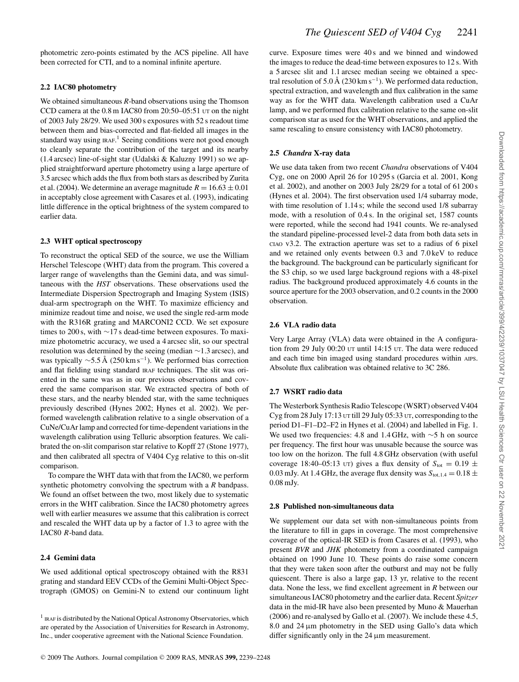photometric zero-points estimated by the ACS pipeline. All have been corrected for CTI, and to a nominal infinite aperture.

# **2.2 IAC80 photometry**

We obtained simultaneous *R*-band observations using the Thomson CCD camera at the 0.8 m IAC80 from 20:50–05:51 UT on the night of 2003 July 28/29. We used 300 s exposures with 52 s readout time between them and bias-corrected and flat-fielded all images in the standard way using  $IRAF$ .<sup>1</sup> Seeing conditions were not good enough to cleanly separate the contribution of the target and its nearby  $(1.4 \text{ arcsec})$  line-of-sight star (Udalski & Kaluzny 1991) so we applied straightforward aperture photometry using a large aperture of 3.5 arcsec which adds the flux from both stars as described by Zurita et al. (2004). We determine an average magnitude  $R = 16.63 \pm 0.01$ in acceptably close agreement with Casares et al. (1993), indicating little difference in the optical brightness of the system compared to earlier data.

#### **2.3 WHT optical spectroscopy**

To reconstruct the optical SED of the source, we use the William Herschel Telescope (WHT) data from the program. This covered a larger range of wavelengths than the Gemini data, and was simultaneous with the *HST* observations. These observations used the Intermediate Dispersion Spectrograph and Imaging System (ISIS) dual-arm spectrograph on the WHT. To maximize efficiency and minimize readout time and noise, we used the single red-arm mode with the R316R grating and MARCONI2 CCD. We set exposure times to 200 s, with ∼17 s dead-time between exposures. To maximize photometric accuracy, we used a 4 arcsec slit, so our spectral resolution was determined by the seeing (median ∼1.3 arcsec), and was typically  $\sim$ 5.5 Å (250 km s<sup>-1</sup>). We performed bias correction and flat fielding using standard IRAF techniques. The slit was oriented in the same was as in our previous observations and covered the same comparison star. We extracted spectra of both of these stars, and the nearby blended star, with the same techniques previously described (Hynes 2002; Hynes et al. 2002). We performed wavelength calibration relative to a single observation of a CuNe/CuAr lamp and corrected for time-dependent variations in the wavelength calibration using Telluric absorption features. We calibrated the on-slit comparison star relative to Kopff 27 (Stone 1977), and then calibrated all spectra of V404 Cyg relative to this on-slit comparison.

To compare the WHT data with that from the IAC80, we perform synthetic photometry convolving the spectrum with a *R* bandpass. We found an offset between the two, most likely due to systematic errors in the WHT calibration. Since the IAC80 photometry agrees well with earlier measures we assume that this calibration is correct and rescaled the WHT data up by a factor of 1.3 to agree with the IAC80 *R*-band data.

#### **2.4 Gemini data**

We used additional optical spectroscopy obtained with the R831 grating and standard EEV CCDs of the Gemini Multi-Object Spectrograph (GMOS) on Gemini-N to extend our continuum light

<sup>1</sup> IRAF is distributed by the National Optical Astronomy Observatories, which are operated by the Association of Universities for Research in Astronomy, Inc., under cooperative agreement with the National Science Foundation.

curve. Exposure times were 40 s and we binned and windowed the images to reduce the dead-time between exposures to 12 s. With a 5 arcsec slit and 1.1 arcsec median seeing we obtained a spectral resolution of 5.0 Å (230 km s<sup>-1</sup>). We performed data reduction, spectral extraction, and wavelength and flux calibration in the same way as for the WHT data. Wavelength calibration used a CuAr lamp, and we performed flux calibration relative to the same on-slit comparison star as used for the WHT observations, and applied the same rescaling to ensure consistency with IAC80 photometry.

## **2.5** *Chandra* **X-ray data**

We use data taken from two recent *Chandra* observations of V404 Cyg, one on 2000 April 26 for 10 295 s (Garcia et al. 2001, Kong et al. 2002), and another on 2003 July 28/29 for a total of 61 200 s (Hynes et al. 2004). The first observation used 1/4 subarray mode, with time resolution of 1.14 s; while the second used 1/8 subarray mode, with a resolution of 0.4 s. In the original set, 1587 counts were reported, while the second had 1941 counts. We re-analysed the standard pipeline-processed level-2 data from both data sets in CIAO v3.2. The extraction aperture was set to a radius of 6 pixel and we retained only events between 0.3 and 7.0 keV to reduce the background. The background can be particularly significant for the S3 chip, so we used large background regions with a 48-pixel radius. The background produced approximately 4.6 counts in the source aperture for the 2003 observation, and 0.2 counts in the 2000 observation.

# **2.6 VLA radio data**

Very Large Array (VLA) data were obtained in the A configuration from 29 July 00:20 UT until 14:15 UT. The data were reduced and each time bin imaged using standard procedures within AIPS. Absolute flux calibration was obtained relative to 3C 286.

# **2.7 WSRT radio data**

The Westerbork Synthesis Radio Telescope (WSRT) observed V404 Cyg from 28 July 17:13 UT till 29 July 05:33 UT, corresponding to the period D1–F1–D2–F2 in Hynes et al. (2004) and labelled in Fig. 1. We used two frequencies: 4.8 and 1.4 GHz, with ∼5 h on source per frequency. The first hour was unusable because the source was too low on the horizon. The full 4.8 GHz observation (with useful coverage 18:40–05:13 UT) gives a flux density of  $S_{\text{tot}} = 0.19 \pm$ 0.03 mJy. At 1.4 GHz, the average flux density was  $S_{\text{tot,1.4}} = 0.18 \pm$ 0.08 mJy.

## **2.8 Published non-simultaneous data**

We supplement our data set with non-simultaneous points from the literature to fill in gaps in coverage. The most comprehensive coverage of the optical-IR SED is from Casares et al. (1993), who present *BVR* and *JHK* photometry from a coordinated campaign obtained on 1990 June 10. These points do raise some concern that they were taken soon after the outburst and may not be fully quiescent. There is also a large gap, 13 yr, relative to the recent data. None the less, we find excellent agreement in *R* between our simultaneous IAC80 photometry and the earlier data. Recent *Spitzer* data in the mid-IR have also been presented by Muno & Mauerhan (2006) and re-analysed by Gallo et al. (2007). We include these 4.5, 8.0 and 24 μm photometry in the SED using Gallo's data which differ significantly only in the  $24 \mu m$  measurement.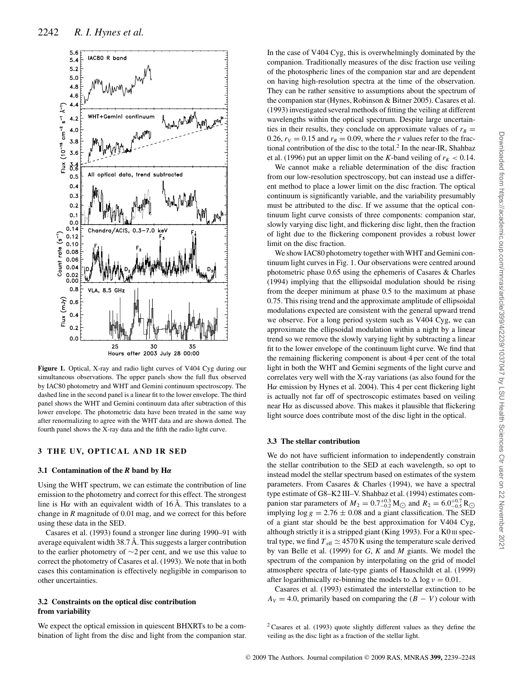

**Figure 1.** Optical, X-ray and radio light curves of V404 Cyg during our simultaneous observations. The upper panels show the full flux observed by IAC80 photometry and WHT and Gemini continuum spectroscopy. The dashed line in the second panel is a linear fit to the lower envelope. The third panel shows the WHT and Gemini continuum data after subtraction of this lower envelope. The photometric data have been treated in the same way after renormalizing to agree with the WHT data and are shown dotted. The fourth panel shows the X-ray data and the fifth the radio light curve.

#### **3 THE UV, OPTICAL AND IR SED**

#### **3.1 Contamination of the** *R* **band by H***α*

Using the WHT spectrum, we can estimate the contribution of line emission to the photometry and correct for this effect. The strongest line is H*α* with an equivalent width of 16 Å. This translates to a change in *R* magnitude of 0.01 mag, and we correct for this before using these data in the SED.

Casares et al. (1993) found a stronger line during 1990–91 with average equivalent width 38.7 Å. This suggests a larger contribution to the earlier photometry of ∼2 per cent, and we use this value to correct the photometry of Casares et al. (1993). We note that in both cases this contamination is effectively negligible in comparison to other uncertainties.

#### **3.2 Constraints on the optical disc contribution from variability**

We expect the optical emission in quiescent BHXRTs to be a combination of light from the disc and light from the companion star.

In the case of V404 Cyg, this is overwhelmingly dominated by the companion. Traditionally measures of the disc fraction use veiling of the photospheric lines of the companion star and are dependent on having high-resolution spectra at the time of the observation. They can be rather sensitive to assumptions about the spectrum of the companion star (Hynes, Robinson & Bitner 2005). Casares et al. (1993) investigated several methods of fitting the veiling at different wavelengths within the optical spectrum. Despite large uncertainties in their results, they conclude on approximate values of  $r_B$  = 0.26,  $r_V = 0.15$  and  $r_R = 0.09$ , where the *r* values refer to the fractional contribution of the disc to the total.<sup>2</sup> In the near-IR, Shahbaz et al. (1996) put an upper limit on the *K*-band veiling of  $r_K < 0.14$ .

We cannot make a reliable determination of the disc fraction from our low-resolution spectroscopy, but can instead use a different method to place a lower limit on the disc fraction. The optical continuum is significantly variable, and the variability presumably must be attributed to the disc. If we assume that the optical continuum light curve consists of three components: companion star, slowly varying disc light, and flickering disc light, then the fraction of light due to the flickering component provides a robust lower limit on the disc fraction.

We show IAC80 photometry together with WHT and Gemini continuum light curves in Fig. 1. Our observations were centred around photometric phase 0.65 using the ephemeris of Casares & Charles (1994) implying that the ellipsoidal modulation should be rising from the deeper minimum at phase 0.5 to the maximum at phase 0.75. This rising trend and the approximate amplitude of ellipsoidal modulations expected are consistent with the general upward trend we observe. For a long period system such as V404 Cyg, we can approximate the ellipsoidal modulation within a night by a linear trend so we remove the slowly varying light by subtracting a linear fit to the lower envelope of the continuum light curve. We find that the remaining flickering component is about 4 per cent of the total light in both the WHT and Gemini segments of the light curve and correlates very well with the X-ray variations (as also found for the H*α* emission by Hynes et al. 2004). This 4 per cent flickering light is actually not far off of spectroscopic estimates based on veiling near H*α* as discussed above. This makes it plausible that flickering light source does contribute most of the disc light in the optical.

#### **3.3 The stellar contribution**

We do not have sufficient information to independently constrain the stellar contribution to the SED at each wavelength, so opt to instead model the stellar spectrum based on estimates of the system parameters. From Casares & Charles (1994), we have a spectral type estimate of G8–K2 III–V. Shahbaz et al. (1994) estimates companion star parameters of  $M_2 = 0.7^{+0.3}_{-0.2} M_{\odot}$  and  $R_2 = 6.0^{+0.7}_{-0.5} R_{\odot}$ implying  $\log g = 2.76 \pm 0.08$  and a giant classification. The SED of a giant star should be the best approximation for V404 Cyg, although strictly it is a stripped giant (King 1993). For a K0 III spectral type, we find  $T_{\text{eff}} \simeq 4570 \text{ K}$  using the temperature scale derived by van Belle et al. (1999) for *G*, *K* and *M* giants. We model the spectrum of the companion by interpolating on the grid of model atmosphere spectra of late-type giants of Hauschildt et al. (1999) after logarithmically re-binning the models to  $\Delta \log v = 0.01$ .

Casares et al. (1993) estimated the interstellar extinction to be  $A_V = 4.0$ , primarily based on comparing the  $(B - V)$  colour with

 $2$  Casares et al. (1993) quote slightly different values as they define the veiling as the disc light as a fraction of the stellar light.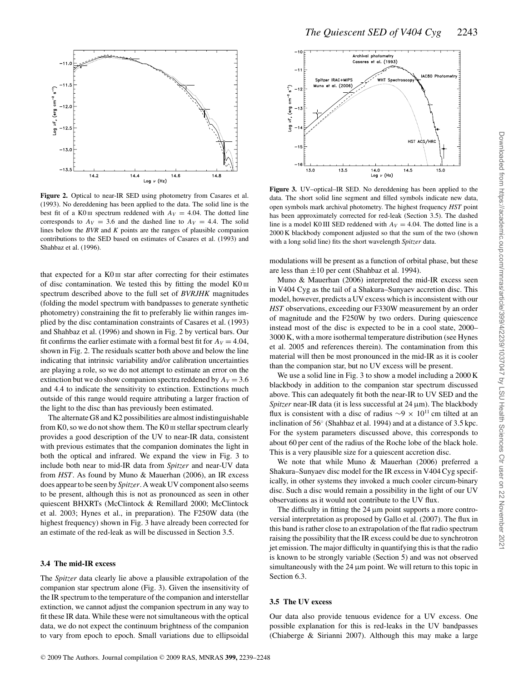

**Figure 2.** Optical to near-IR SED using photometry from Casares et al. (1993). No dereddening has been applied to the data. The solid line is the best fit of a K0 III spectrum reddened with  $A_V = 4.04$ . The dotted line corresponds to  $A_V = 3.6$  and the dashed line to  $A_V = 4.4$ . The solid lines below the *BVR* and *K* points are the ranges of plausible companion contributions to the SED based on estimates of Casares et al. (1993) and Shahbaz et al. (1996).

that expected for a K0 III star after correcting for their estimates of disc contamination. We tested this by fitting the model  $K0 \text{ m}$ spectrum described above to the full set of *BVRJHK* magnitudes (folding the model spectrum with bandpasses to generate synthetic photometry) constraining the fit to preferably lie within ranges implied by the disc contamination constraints of Casares et al. (1993) and Shahbaz et al. (1996) and shown in Fig. 2 by vertical bars. Our fit confirms the earlier estimate with a formal best fit for  $A_V = 4.04$ , shown in Fig. 2. The residuals scatter both above and below the line indicating that intrinsic variability and/or calibration uncertainties are playing a role, so we do not attempt to estimate an error on the extinction but we do show companion spectra reddened by  $A_V = 3.6$ and 4.4 to indicate the sensitivity to extinction. Extinctions much outside of this range would require attributing a larger fraction of the light to the disc than has previously been estimated.

The alternate G8 and K2 possibilities are almost indistinguishable from  $K0$ , so we do not show them. The  $K0$   $\mu$  stellar spectrum clearly provides a good description of the UV to near-IR data, consistent with previous estimates that the companion dominates the light in both the optical and infrared. We expand the view in Fig. 3 to include both near to mid-IR data from *Spitzer* and near-UV data from *HST*. As found by Muno & Mauerhan (2006), an IR excess does appear to be seen by *Spitzer*. A weak UV component also seems to be present, although this is not as pronounced as seen in other quiescent BHXRTs (McClintock & Remillard 2000; McClintock et al. 2003; Hynes et al., in preparation). The F250W data (the highest frequency) shown in Fig. 3 have already been corrected for an estimate of the red-leak as will be discussed in Section 3.5.

#### **3.4 The mid-IR excess**

The *Spitzer* data clearly lie above a plausible extrapolation of the companion star spectrum alone (Fig. 3). Given the insensitivity of the IR spectrum to the temperature of the companion and interstellar extinction, we cannot adjust the companion spectrum in any way to fit these IR data. While these were not simultaneous with the optical data, we do not expect the continuum brightness of the companion to vary from epoch to epoch. Small variations due to ellipsoidal



**Figure 3.** UV–optical–IR SED. No dereddening has been applied to the data. The short solid line segment and filled symbols indicate new data, open symbols mark archival photometry. The highest frequency *HST* point has been approximately corrected for red-leak (Section 3.5). The dashed line is a model K0 III SED reddened with  $A_V = 4.04$ . The dotted line is a 2000 K blackbody component adjusted so that the sum of the two (shown with a long solid line) fits the short wavelength *Spitzer* data.

modulations will be present as a function of orbital phase, but these are less than  $\pm 10$  per cent (Shahbaz et al. 1994).

Muno & Mauerhan (2006) interpreted the mid-IR excess seen in V404 Cyg as the tail of a Shakura–Sunyaev accretion disc. This model, however, predicts a UV excess which is inconsistent with our *HST* observations, exceeding our F330W measurement by an order of magnitude and the F250W by two orders. During quiescence instead most of the disc is expected to be in a cool state, 2000– 3000 K, with a more isothermal temperature distribution (see Hynes et al. 2005 and references therein). The contamination from this material will then be most pronounced in the mid-IR as it is cooler than the companion star, but no UV excess will be present.

We use a solid line in Fig. 3 to show a model including a 2000 K blackbody in addition to the companion star spectrum discussed above. This can adequately fit both the near-IR to UV SED and the *Spitzer* near-IR data (it is less successful at 24 μm). The blackbody flux is consistent with a disc of radius  $\sim$ 9 × 10<sup>11</sup> cm tilted at an inclination of 56◦ (Shahbaz et al. 1994) and at a distance of 3.5 kpc. For the system parameters discussed above, this corresponds to about 60 per cent of the radius of the Roche lobe of the black hole. This is a very plausible size for a quiescent accretion disc.

We note that while Muno & Mauerhan (2006) preferred a Shakura–Sunyaev disc model for the IR excess in V404 Cyg specifically, in other systems they invoked a much cooler circum-binary disc. Such a disc would remain a possibility in the light of our UV observations as it would not contribute to the UV flux.

The difficulty in fitting the  $24 \mu m$  point supports a more controversial interpretation as proposed by Gallo et al. (2007). The flux in this band is rather close to an extrapolation of the flat radio spectrum raising the possibility that the IR excess could be due to synchrotron jet emission. The major difficulty in quantifying this is that the radio is known to be strongly variable (Section 5) and was not observed simultaneously with the  $24 \mu m$  point. We will return to this topic in Section 6.3.

# **3.5 The UV excess**

Our data also provide tenuous evidence for a UV excess. One possible explanation for this is red-leaks in the UV bandpasses (Chiaberge & Sirianni 2007). Although this may make a large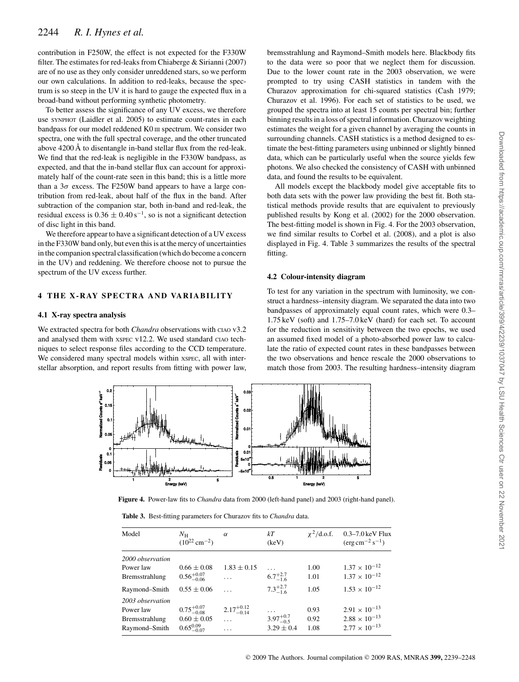contribution in F250W, the effect is not expected for the F330W filter. The estimates for red-leaks from Chiaberge & Sirianni (2007) are of no use as they only consider unreddened stars, so we perform our own calculations. In addition to red-leaks, because the spectrum is so steep in the UV it is hard to gauge the expected flux in a broad-band without performing synthetic photometry.

To better assess the significance of any UV excess, we therefore use SYNPHOT (Laidler et al. 2005) to estimate count-rates in each bandpass for our model reddened K0 III spectrum. We consider two spectra, one with the full spectral coverage, and the other truncated above 4200 Å to disentangle in-band stellar flux from the red-leak. We find that the red-leak is negligible in the F330W bandpass, as expected, and that the in-band stellar flux can account for approximately half of the count-rate seen in this band; this is a little more than a  $3\sigma$  excess. The F250W band appears to have a large contribution from red-leak, about half of the flux in the band. After subtraction of the companion star, both in-band and red-leak, the residual excess is  $0.36 \pm 0.40 s^{-1}$ , so is not a significant detection of disc light in this band.

We therefore appear to have a significant detection of a UV excess in the F330W band only, but even this is at the mercy of uncertainties in the companion spectral classification (which do become a concern in the UV) and reddening. We therefore choose not to pursue the spectrum of the UV excess further.

#### **4 THE X - R AY S PE CT R A A N D VA R I AB IL IT Y**

#### **4.1 X-ray spectra analysis**

We extracted spectra for both *Chandra* observations with CIAO v3.2 and analysed them with XSPEC v12.2. We used standard CIAO techniques to select response files according to the CCD temperature. We considered many spectral models within xspec, all with interstellar absorption, and report results from fitting with power law,

bremsstrahlung and Raymond–Smith models here. Blackbody fits to the data were so poor that we neglect them for discussion. Due to the lower count rate in the 2003 observation, we were prompted to try using CASH statistics in tandem with the Churazov approximation for chi-squared statistics (Cash 1979; Churazov et al. 1996). For each set of statistics to be used, we grouped the spectra into at least 15 counts per spectral bin; further binning results in a loss of spectral information. Churazov weighting estimates the weight for a given channel by averaging the counts in surrounding channels. CASH statistics is a method designed to estimate the best-fitting parameters using unbinned or slightly binned data, which can be particularly useful when the source yields few photons. We also checked the consistency of CASH with unbinned data, and found the results to be equivalent.

All models except the blackbody model give acceptable fits to both data sets with the power law providing the best fit. Both statistical methods provide results that are equivalent to previously published results by Kong et al. (2002) for the 2000 observation. The best-fitting model is shown in Fig. 4. For the 2003 observation, we find similar results to Corbel et al. (2008), and a plot is also displayed in Fig. 4. Table 3 summarizes the results of the spectral fitting.

#### **4.2 Colour-intensity diagram**

To test for any variation in the spectrum with luminosity, we construct a hardness–intensity diagram. We separated the data into two bandpasses of approximately equal count rates, which were 0.3– 1.75 keV (soft) and 1.75–7.0 keV (hard) for each set. To account for the reduction in sensitivity between the two epochs, we used an assumed fixed model of a photo-absorbed power law to calculate the ratio of expected count rates in these bandpasses between the two observations and hence rescale the 2000 observations to match those from 2003. The resulting hardness–intensity diagram



**Figure 4.** Power-law fits to *Chandra* data from 2000 (left-hand panel) and 2003 (right-hand panel).

**Table 3.** Best-fitting parameters for Churazov fits to *Chandra* data.

| Model            | $N_{\rm H}$<br>$(10^{22} \text{ cm}^{-2})$ | $\alpha$               | kT<br>(keV)          | $\chi^2$ /d.o.f. | 0.3–7.0 keV Flux<br>$(\text{erg cm}^{-2} \text{ s}^{-1})$ |
|------------------|--------------------------------------------|------------------------|----------------------|------------------|-----------------------------------------------------------|
| 2000 observation |                                            |                        |                      |                  |                                                           |
| Power law        | $0.66 \pm 0.08$                            | $1.83 \pm 0.15$        | $\cdots$             | 1.00             | $1.37 \times 10^{-12}$                                    |
| Bremsstrahlung   | $0.56^{+0.07}_{-0.06}$                     | $\cdots$               | $6.7^{+2.7}_{-1.6}$  | 1.01             | $1.37 \times 10^{-12}$                                    |
| Raymond-Smith    | $0.55 \pm 0.06$                            |                        | $7.3^{+2.7}_{-1.6}$  | 1.05             | $1.53 \times 10^{-12}$                                    |
| 2003 observation |                                            |                        |                      |                  |                                                           |
| Power law        | $0.75^{+0.07}_{-0.08}$                     | $2.17^{+0.12}_{-0.14}$ | $\cdots$             | 0.93             | $2.91 \times 10^{-13}$                                    |
| Bremsstrahlung   | $0.60 \pm 0.05$                            | $\cdots$               | $3.97^{+0.7}_{-0.5}$ | 0.92             | $2.88 \times 10^{-13}$                                    |
| Raymond-Smith    | $0.65^{0.09}_{-0.07}$                      | .                      | $3.29 \pm 0.4$       | 1.08             | $2.77 \times 10^{-13}$                                    |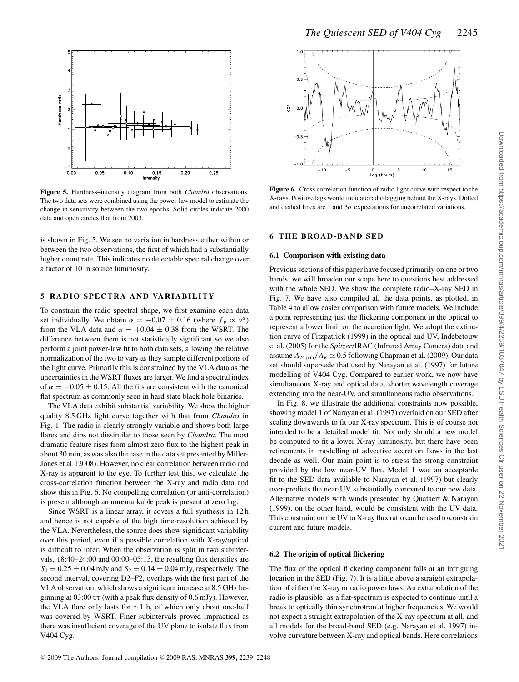

**Figure 5.** Hardness–intensity diagram from both *Chandra* observations. The two data sets were combined using the power-law model to estimate the change in sensitivity between the two epochs. Solid circles indicate 2000 data and open circles that from 2003.

is shown in Fig. 5. We see no variation in hardness either within or between the two observations, the first of which had a substantially higher count rate. This indicates no detectable spectral change over a factor of 10 in source luminosity.

# **5 RADIO SPECTRA AND VARIABILITY**

To constrain the radio spectral shape, we first examine each data set individually. We obtain  $\alpha = -0.07 \pm 0.16$  (where  $f_v \propto v^{\alpha}$ ) from the VLA data and  $\alpha = +0.04 \pm 0.38$  from the WSRT. The difference between them is not statistically significant so we also perform a joint power-law fit to both data sets, allowing the relative normalization of the two to vary as they sample different portions of the light curve. Primarily this is constrained by the VLA data as the uncertainties in the WSRT fluxes are larger. We find a spectral index of  $\alpha = -0.05 \pm 0.15$ . All the fits are consistent with the canonical flat spectrum as commonly seen in hard state black hole binaries.

The VLA data exhibit substantial variability. We show the higher quality 8.5 GHz light curve together with that from *Chandra* in Fig. 1. The radio is clearly strongly variable and shows both large flares and dips not dissimilar to those seen by *Chandra*. The most dramatic feature rises from almost zero flux to the highest peak in about 30 min, as was also the case in the data set presented by Miller-Jones et al. (2008). However, no clear correlation between radio and X-ray is apparent to the eye. To further test this, we calculate the cross-correlation function between the X-ray and radio data and show this in Fig. 6. No compelling correlation (or anti-correlation) is present although an unremarkable peak is present at zero lag.

Since WSRT is a linear array, it covers a full synthesis in 12 h and hence is not capable of the high time-resolution achieved by the VLA. Nevertheless, the source does show significant variability over this period, even if a possible correlation with X-ray/optical is difficult to infer. When the observation is split in two subintervals, 18:40–24:00 and 00:00–05:13, the resulting flux densities are  $S_1 = 0.25 \pm 0.04$  mJy and  $S_2 = 0.14 \pm 0.04$  mJy, respectively. The second interval, covering D2–F2, overlaps with the first part of the VLA observation, which shows a significant increase at 8.5 GHz beginning at 03:00 UT (with a peak flux density of 0.6 mJy). However, the VLA flare only lasts for ∼1 h, of which only about one-half was covered by WSRT. Finer subintervals proved impractical as there was insufficient coverage of the UV plane to isolate flux from V404 Cyg.



**Figure 6.** Cross correlation function of radio light curve with respect to the X-rays. Positive lags would indicate radio lagging behind the X-rays. Dotted and dashed lines are 1 and  $3\sigma$  expectations for uncorrelated variations.

### **6 THE BROAD-BAND SED**

#### **6.1 Comparison with existing data**

Previous sections of this paper have focused primarily on one or two bands; we will broaden our scope here to questions best addressed with the whole SED. We show the complete radio–X-ray SED in Fig. 7. We have also compiled all the data points, as plotted, in Table 4 to allow easier comparison with future models. We include a point representing just the flickering component in the optical to represent a lower limit on the accretion light. We adopt the extinction curve of Fitzpatrick (1999) in the optical and UV, Indebetouw et al. (2005) for the *Spitzer*/IRAC (Infrared Array Camera) data and assume  $A_{24 \mu m}/A_K \simeq 0.5$  following Chapman et al. (2009). Our data set should supersede that used by Narayan et al. (1997) for future modelling of V404 Cyg. Compared to earlier work, we now have simultaneous X-ray and optical data, shorter wavelength coverage extending into the near-UV, and simultaneous radio observations.

In Fig. 8, we illustrate the additional constraints now possible, showing model 1 of Narayan et al. (1997) overlaid on our SED after scaling downwards to fit our X-ray spectrum. This is of course not intended to be a detailed model fit. Not only should a new model be computed to fit a lower X-ray luminosity, but there have been refinements in modelling of advective accretion flows in the last decade as well. Our main point is to stress the strong constraint provided by the low near-UV flux. Model 1 was an acceptable fit to the SED data available to Narayan et al. (1997) but clearly over-predicts the near-UV substantially compared to our new data. Alternative models with winds presented by Quataert & Narayan (1999), on the other hand, would be consistent with the UV data. This constraint on the UV to X-ray flux ratio can be used to constrain current and future models.

#### **6.2 The origin of optical flickering**

The flux of the optical flickering component falls at an intriguing location in the SED (Fig. 7). It is a little above a straight extrapolation of either the X-ray or radio power laws. An extrapolation of the radio is plausible, as a flat-spectrum is expected to continue until a break to optically thin synchrotron at higher frequencies. We would not expect a straight extrapolation of the X-ray spectrum at all, and all models for the broad-band SED (e.g. Narayan et al. 1997) involve curvature between X-ray and optical bands. Here correlations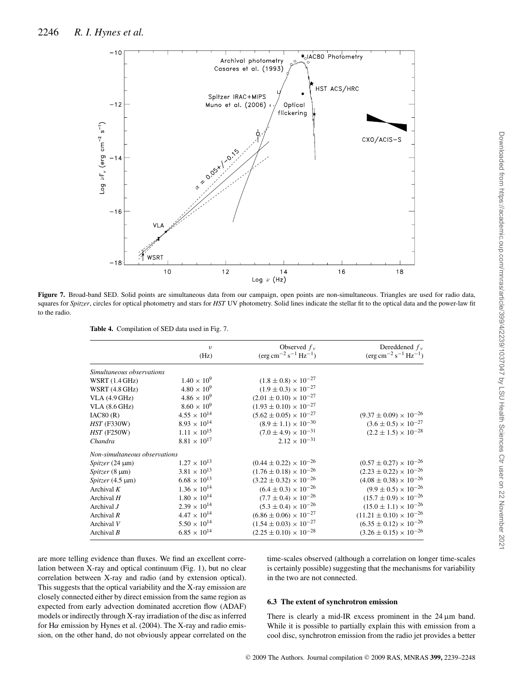

**Figure 7.** Broad-band SED. Solid points are simultaneous data from our campaign, open points are non-simultaneous. Triangles are used for radio data, squares for *Spitzer*, circles for optical photometry and stars for *HST* UV photometry. Solid lines indicate the stellar fit to the optical data and the power-law fit to the radio.

**Table 4.** Compilation of SED data used in Fig. 7.

|                               | $\nu$<br>(Hz)         | Observed $f_v$<br>$(\text{erg}\,\text{cm}^{-2}\,\text{s}^{-1}\,\text{Hz}^{-1})$ | Dereddened $f_v$<br>$(\text{erg cm}^{-2} \text{ s}^{-1} \text{ Hz}^{-1})$ |
|-------------------------------|-----------------------|---------------------------------------------------------------------------------|---------------------------------------------------------------------------|
| Simultaneous observations     |                       |                                                                                 |                                                                           |
| WSRT $(1.4 \text{ GHz})$      | $1.40 \times 10^{9}$  | $(1.8 \pm 0.8) \times 10^{-27}$                                                 |                                                                           |
| WSRT (4.8 GHz)                | $4.80 \times 10^{9}$  | $(1.9 \pm 0.3) \times 10^{-27}$                                                 |                                                                           |
| VLA(4.9 GHz)                  | $4.86 \times 10^{9}$  | $(2.01 \pm 0.10) \times 10^{-27}$                                               |                                                                           |
| VLA (8.6 GHz)                 | $8.60 \times 10^{9}$  | $(1.93 \pm 0.10) \times 10^{-27}$                                               |                                                                           |
| IAC80(R)                      | $4.55 \times 10^{14}$ | $(5.62 \pm 0.05) \times 10^{-27}$                                               | $(9.37 \pm 0.09) \times 10^{-26}$                                         |
| <b>HST (F330W)</b>            | $8.93 \times 10^{14}$ | $(8.9 \pm 1.1) \times 10^{-30}$                                                 | $(3.6 \pm 0.5) \times 10^{-27}$                                           |
| <b>HST (F250W)</b>            | $1.11 \times 10^{15}$ | $(7.0 \pm 4.9) \times 10^{-31}$                                                 | $(2.2 \pm 1.5) \times 10^{-28}$                                           |
| Chandra                       | $8.81\times10^{17}$   | $2.12 \times 10^{-31}$                                                          |                                                                           |
| Non-simultaneous observations |                       |                                                                                 |                                                                           |
| Spitzer $(24 \mu m)$          | $1.27 \times 10^{13}$ | $(0.44 \pm 0.22) \times 10^{-26}$                                               | $(0.57 \pm 0.27) \times 10^{-26}$                                         |
| $Spitzer(8 \mu m)$            | $3.81\times10^{13}$   | $(1.76 \pm 0.18) \times 10^{-26}$                                               | $(2.23 \pm 0.22) \times 10^{-26}$                                         |
| Spitzer $(4.5 \mu m)$         | $6.68 \times 10^{13}$ | $(3.22 \pm 0.32) \times 10^{-26}$                                               | $(4.08 \pm 0.38) \times 10^{-26}$                                         |
| Archival $K$                  | $1.36 \times 10^{14}$ | $(6.4 \pm 0.3) \times 10^{-26}$                                                 | $(9.9 \pm 0.5) \times 10^{-26}$                                           |
| Archival $H$                  | $1.80\times10^{14}$   | $(7.7 \pm 0.4) \times 10^{-26}$                                                 | $(15.7 \pm 0.9) \times 10^{-26}$                                          |
| Archival $J$                  | $2.39\times10^{14}$   | $(5.3 \pm 0.4) \times 10^{-26}$                                                 | $(15.0 \pm 1.1) \times 10^{-26}$                                          |
| Archival $R$                  | $4.47 \times 10^{14}$ | $(6.86 \pm 0.06) \times 10^{-27}$                                               | $(11.21 \pm 0.10) \times 10^{-26}$                                        |
| Archival V                    | $5.50\times10^{14}$   | $(1.54 \pm 0.03) \times 10^{-27}$                                               | $(6.35 \pm 0.12) \times 10^{-26}$                                         |
| Archival $B$                  | $6.85 \times 10^{14}$ | $(2.25 \pm 0.10) \times 10^{-28}$                                               | $(3.26 \pm 0.15) \times 10^{-26}$                                         |

are more telling evidence than fluxes. We find an excellent correlation between X-ray and optical continuum (Fig. 1), but no clear correlation between X-ray and radio (and by extension optical). This suggests that the optical variability and the X-ray emission are closely connected either by direct emission from the same region as expected from early advection dominated accretion flow (ADAF) models or indirectly through X-ray irradiation of the disc as inferred for H*α* emission by Hynes et al. (2004). The X-ray and radio emission, on the other hand, do not obviously appear correlated on the

time-scales observed (although a correlation on longer time-scales is certainly possible) suggesting that the mechanisms for variability in the two are not connected.

#### **6.3 The extent of synchrotron emission**

There is clearly a mid-IR excess prominent in the 24 μm band. While it is possible to partially explain this with emission from a cool disc, synchrotron emission from the radio jet provides a better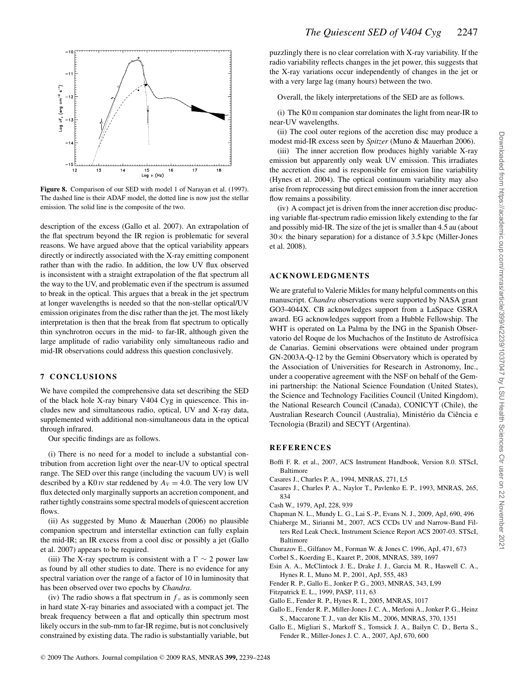

**Figure 8.** Comparison of our SED with model 1 of Narayan et al. (1997). The dashed line is their ADAF model, the dotted line is now just the stellar emission. The solid line is the composite of the two.

description of the excess (Gallo et al. 2007). An extrapolation of the flat spectrum beyond the IR region is problematic for several reasons. We have argued above that the optical variability appears directly or indirectly associated with the X-ray emitting component rather than with the radio. In addition, the low UV flux observed is inconsistent with a straight extrapolation of the flat spectrum all the way to the UV, and problematic even if the spectrum is assumed to break in the optical. This argues that a break in the jet spectrum at longer wavelengths is needed so that the non-stellar optical/UV emission originates from the disc rather than the jet. The most likely interpretation is then that the break from flat spectrum to optically thin synchrotron occurs in the mid- to far-IR, although given the large amplitude of radio variability only simultaneous radio and mid-IR observations could address this question conclusively.

#### **7 CONCLUSIONS**

We have compiled the comprehensive data set describing the SED of the black hole X-ray binary V404 Cyg in quiescence. This includes new and simultaneous radio, optical, UV and X-ray data, supplemented with additional non-simultaneous data in the optical through infrared.

Our specific findings are as follows.

(i) There is no need for a model to include a substantial contribution from accretion light over the near-UV to optical spectral range. The SED over this range (including the vacuum UV) is well described by a K0 IV star reddened by  $A_V = 4.0$ . The very low UV flux detected only marginally supports an accretion component, and rather tightly constrains some spectral models of quiescent accretion flows.

(ii) As suggested by Muno & Mauerhan (2006) no plausible companion spectrum and interstellar extinction can fully explain the mid-IR; an IR excess from a cool disc or possibly a jet (Gallo et al. 2007) appears to be required.

(iii) The X-ray spectrum is consistent with a  $\Gamma \sim 2$  power law as found by all other studies to date. There is no evidence for any spectral variation over the range of a factor of 10 in luminosity that has been observed over two epochs by *Chandra*.

(iv) The radio shows a flat spectrum in  $f_\nu$  as is commonly seen in hard state X-ray binaries and associated with a compact jet. The break frequency between a flat and optically thin spectrum most likely occurs in the sub-mm to far-IR regime, but is not conclusively constrained by existing data. The radio is substantially variable, but

puzzlingly there is no clear correlation with X-ray variability. If the radio variability reflects changes in the jet power, this suggests that the X-ray variations occur independently of changes in the jet or with a very large lag (many hours) between the two.

Overall, the likely interpretations of the SED are as follows.

(i) The K0 III companion star dominates the light from near-IR to near-UV wavelengths.

(ii) The cool outer regions of the accretion disc may produce a modest mid-IR excess seen by *Spitzer* (Muno & Mauerhan 2006).

(iii) The inner accretion flow produces highly variable X-ray emission but apparently only weak UV emission. This irradiates the accretion disc and is responsible for emission line variability (Hynes et al. 2004). The optical continuum variability may also arise from reprocessing but direct emission from the inner accretion flow remains a possibility.

(iv) A compact jet is driven from the inner accretion disc producing variable flat-spectrum radio emission likely extending to the far and possibly mid-IR. The size of the jet is smaller than 4.5 au (about  $30\times$  the binary separation) for a distance of 3.5 kpc (Miller-Jones et al. 2008).

#### **ACKNOWLEDGMENTS**

We are grateful to Valerie Mikles for many helpful comments on this manuscript. *Chandra* observations were supported by NASA grant GO3-4044X. CB acknowledges support from a LaSpace GSRA award. EG acknowledges support from a Hubble Fellowship. The WHT is operated on La Palma by the ING in the Spanish Observatorio del Roque de los Muchachos of the Instituto de Astrofísica de Canarias. Gemini observations were obtained under program GN-2003A-Q-12 by the Gemini Observatory which is operated by the Association of Universities for Research in Astronomy, Inc., under a cooperative agreement with the NSF on behalf of the Gemini partnership: the National Science Foundation (United States), the Science and Technology Facilities Council (United Kingdom), the National Research Council (Canada), CONICYT (Chile), the Australian Research Council (Australia), Ministério da Ciência e Tecnologia (Brazil) and SECYT (Argentina).

#### **REFERENCES**

- Boffi F. R. et al., 2007, ACS Instrument Handbook, Version 8.0. STScI, Baltimore
- Casares J., Charles P. A., 1994, MNRAS, 271, L5
- Casares J., Charles P. A., Naylor T., Pavlenko E. P., 1993, MNRAS, 265, 834
- Cash W., 1979, ApJ, 228, 939
- Chapman N. L., Mundy L. G., Lai S.-P., Evans N. J., 2009, ApJ, 690, 496
- Chiaberge M., Sirianni M., 2007, ACS CCDs UV and Narrow-Band Filters Red Leak Check, Instrument Science Report ACS 2007-03. STScI, Baltimore
- Churazov E., Gilfanov M., Forman W. & Jones C. 1996, ApJ, 471, 673
- Corbel S., Koerding E., Kaaret P., 2008, MNRAS, 389, 1697
- Esin A. A., McClintock J. E., Drake J. J., Garcia M. R., Haswell C. A., Hynes R. I., Muno M. P., 2001, ApJ, 555, 483
- Fender R. P., Gallo E., Jonker P. G., 2003, MNRAS, 343, L99
- Fitzpatrick E. L., 1999, PASP, 111, 63
- Gallo E., Fender R. P., Hynes R. I., 2005, MNRAS, 1017
- Gallo E., Fender R. P., Miller-Jones J. C. A., Merloni A., Jonker P. G., Heinz S., Maccarone T. J., van der Klis M., 2006, MNRAS, 370, 1351
- Gallo E., Migliari S., Markoff S., Tomsick J. A., Bailyn C. D., Berta S., Fender R., Miller-Jones J. C. A., 2007, ApJ, 670, 600